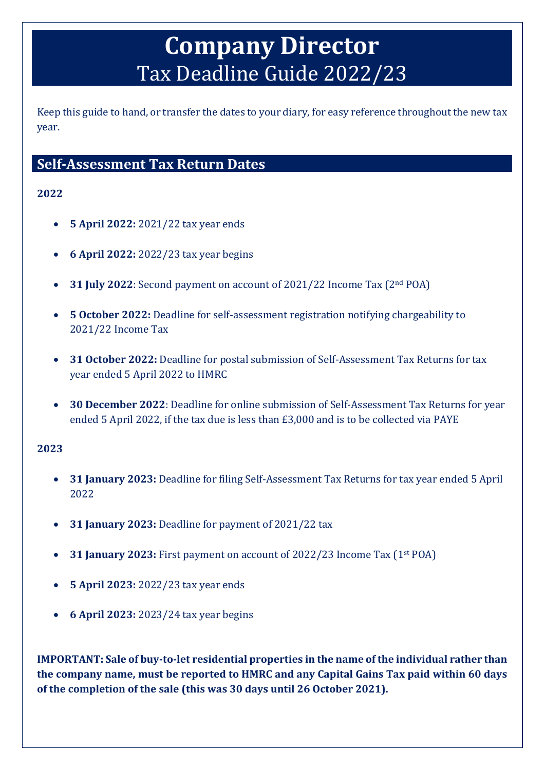# **Company Director** Tax Deadline Guide 2022/23

Keep this guide to hand, or transfer the dates to your diary, for easy reference throughout the new tax year.

# **Self-Assessment Tax Return Dates**

# **2022**

- **5 April 2022:** 2021/22 tax year ends
- **6 April 2022:** 2022/23 tax year begins
- **31 July 2022**: Second payment on account of 2021/22 Income Tax (2nd POA)
- **5 October 2022:** Deadline for self-assessment registration notifying chargeability to 2021/22 Income Tax
- **31 October 2022:** Deadline for postal submission of Self-Assessment Tax Returns for tax year ended 5 April 2022 to HMRC
- **30 December 2022**: Deadline for online submission of Self-Assessment Tax Returns for year ended 5 April 2022, if the tax due is less than £3,000 and is to be collected via PAYE

# **2023**

- **31 January 2023:** Deadline for filing Self-Assessment Tax Returns for tax year ended 5 April 2022
- **31 January 2023:** Deadline for payment of 2021/22 tax
- **31 January 2023:** First payment on account of 2022/23 Income Tax (1st POA)
- **5 April 2023:** 2022/23 tax year ends
- **6 April 2023:** 2023/24 tax year begins

**IMPORTANT: Sale of buy-to-let residential properties in the name of the individual rather than the company name, must be reported to HMRC and any Capital Gains Tax paid within 60 days of the completion of the sale (this was 30 days until 26 October 2021).**